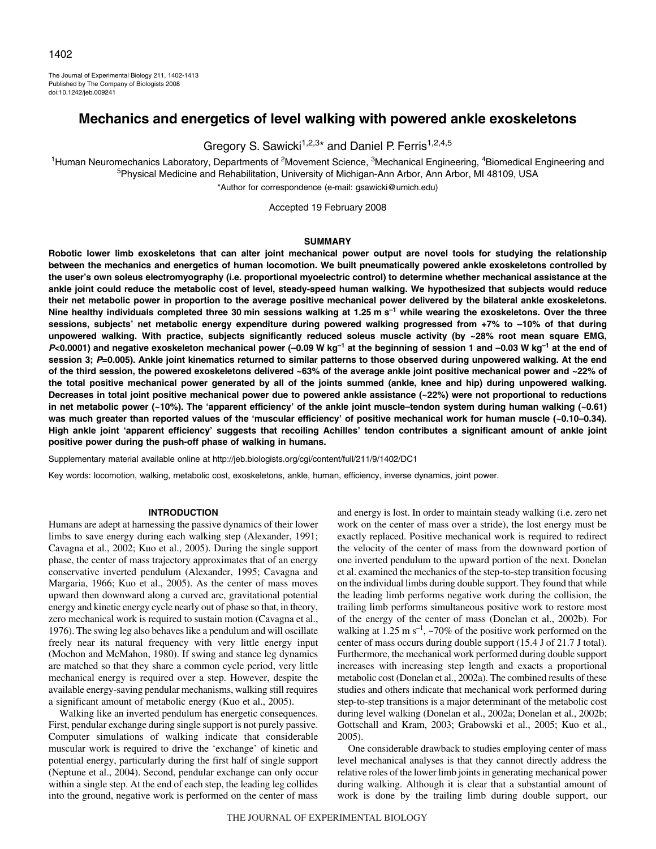The Journal of Experimental Biology 211, 1402-1413 Published by The Company of Biologists 2008 doi:10.1242/jeb.009241

# **Mechanics and energetics of level walking with powered ankle exoskeletons**

Gregory S. Sawicki<sup>1,2,3\*</sup> and Daniel P. Ferris<sup>1,2,4,5</sup>

<sup>1</sup>Human Neuromechanics Laboratory, Departments of <sup>2</sup>Movement Science, <sup>3</sup>Mechanical Engineering, <sup>4</sup>Biomedical Engineering and 5Physical Medicine and Rehabilitation, University of Michigan-Ann Arbor, Ann Arbor, MI 48109, USA

\*Author for correspondence (e-mail: gsawicki@umich.edu)

Accepted 19 February 2008

### **SUMMARY**

**Robotic lower limb exoskeletons that can alter joint mechanical power output are novel tools for studying the relationship between the mechanics and energetics of human locomotion. We built pneumatically powered ankle exoskeletons controlled by the user's own soleus electromyography (i.e. proportional myoelectric control) to determine whether mechanical assistance at the ankle joint could reduce the metabolic cost of level, steady-speed human walking. We hypothesized that subjects would reduce their net metabolic power in proportion to the average positive mechanical power delivered by the bilateral ankle exoskeletons.** Nine healthy individuals completed three 30 min sessions walking at 1.25 m s<sup>-1</sup> while wearing the exoskeletons. Over the three **sessions, subjects' net metabolic energy expenditure during powered walking progressed from +7% to –10% of that during unpowered walking. With practice, subjects significantly reduced soleus muscle activity (by ~28% root mean square EMG, <sup>P</sup><0.0001) and negative exoskeleton mechanical power (–0.09·W·kg–1 at the beginning of session 1 and –0.03·W·kg–1 at the end of session 3; P=0.005). Ankle joint kinematics returned to similar patterns to those observed during unpowered walking. At the end of the third session, the powered exoskeletons delivered ~63% of the average ankle joint positive mechanical power and ~22% of the total positive mechanical power generated by all of the joints summed (ankle, knee and hip) during unpowered walking. Decreases in total joint positive mechanical power due to powered ankle assistance (~22%) were not proportional to reductions in net metabolic power (~10%). The 'apparent efficiency' of the ankle joint muscle–tendon system during human walking (~0.61) was much greater than reported values of the 'muscular efficiency' of positive mechanical work for human muscle (~0.10–0.34). High ankle joint 'apparent efficiency' suggests that recoiling Achilles' tendon contributes a significant amount of ankle joint positive power during the push-off phase of walking in humans.**

Supplementary material available online at http://jeb.biologists.org/cgi/content/full/211/9/1402/DC1

Key words: locomotion, walking, metabolic cost, exoskeletons, ankle, human, efficiency, inverse dynamics, joint power.

#### **INTRODUCTION**

Humans are adept at harnessing the passive dynamics of their lower limbs to save energy during each walking step (Alexander, 1991; Cavagna et al., 2002; Kuo et al., 2005). During the single support phase, the center of mass trajectory approximates that of an energy conservative inverted pendulum (Alexander, 1995; Cavagna and Margaria, 1966; Kuo et al., 2005). As the center of mass moves upward then downward along a curved arc, gravitational potential energy and kinetic energy cycle nearly out of phase so that, in theory, zero mechanical work is required to sustain motion (Cavagna et al., 1976). The swing leg also behaves like a pendulum and will oscillate freely near its natural frequency with very little energy input (Mochon and McMahon, 1980). If swing and stance leg dynamics are matched so that they share a common cycle period, very little mechanical energy is required over a step. However, despite the available energy-saving pendular mechanisms, walking still requires a significant amount of metabolic energy (Kuo et al., 2005).

Walking like an inverted pendulum has energetic consequences. First, pendular exchange during single support is not purely passive. Computer simulations of walking indicate that considerable muscular work is required to drive the 'exchange' of kinetic and potential energy, particularly during the first half of single support (Neptune et al., 2004). Second, pendular exchange can only occur within a single step. At the end of each step, the leading leg collides into the ground, negative work is performed on the center of mass and energy is lost. In order to maintain steady walking (i.e. zero net work on the center of mass over a stride), the lost energy must be exactly replaced. Positive mechanical work is required to redirect the velocity of the center of mass from the downward portion of one inverted pendulum to the upward portion of the next. Donelan et al. examined the mechanics of the step-to-step transition focusing on the individual limbs during double support. They found that while the leading limb performs negative work during the collision, the trailing limb performs simultaneous positive work to restore most of the energy of the center of mass (Donelan et al., 2002b). For walking at 1.25 m s<sup>-1</sup>,  $\sim$ 70% of the positive work performed on the center of mass occurs during double support (15.4 J of 21.7 J total). Furthermore, the mechanical work performed during double support increases with increasing step length and exacts a proportional metabolic cost (Donelan et al., 2002a). The combined results of these studies and others indicate that mechanical work performed during step-to-step transitions is a major determinant of the metabolic cost during level walking (Donelan et al., 2002a; Donelan et al., 2002b; Gottschall and Kram, 2003; Grabowski et al., 2005; Kuo et al., 2005).

One considerable drawback to studies employing center of mass level mechanical analyses is that they cannot directly address the relative roles of the lower limb joints in generating mechanical power during walking. Although it is clear that a substantial amount of work is done by the trailing limb during double support, our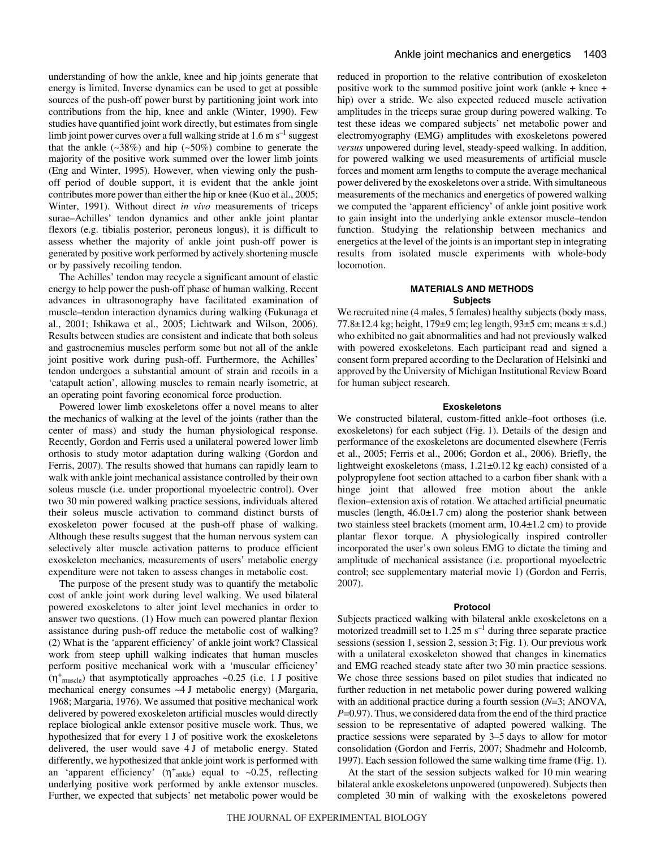understanding of how the ankle, knee and hip joints generate that energy is limited. Inverse dynamics can be used to get at possible sources of the push-off power burst by partitioning joint work into contributions from the hip, knee and ankle (Winter, 1990). Few studies have quantified joint work directly, but estimates from single limb joint power curves over a full walking stride at  $1.6 \text{ m s}^{-1}$  suggest that the ankle  $(\sim 38\%)$  and hip  $(\sim 50\%)$  combine to generate the majority of the positive work summed over the lower limb joints (Eng and Winter, 1995). However, when viewing only the pushoff period of double support, it is evident that the ankle joint contributes more power than either the hip or knee (Kuo et al., 2005; Winter, 1991). Without direct *in vivo* measurements of triceps surae–Achilles' tendon dynamics and other ankle joint plantar flexors (e.g. tibialis posterior, peroneus longus), it is difficult to assess whether the majority of ankle joint push-off power is generated by positive work performed by actively shortening muscle or by passively recoiling tendon.

The Achilles' tendon may recycle a significant amount of elastic energy to help power the push-off phase of human walking. Recent advances in ultrasonography have facilitated examination of muscle–tendon interaction dynamics during walking (Fukunaga et al., 2001; Ishikawa et al., 2005; Lichtwark and Wilson, 2006). Results between studies are consistent and indicate that both soleus and gastrocnemius muscles perform some but not all of the ankle joint positive work during push-off. Furthermore, the Achilles' tendon undergoes a substantial amount of strain and recoils in a 'catapult action', allowing muscles to remain nearly isometric, at an operating point favoring economical force production.

Powered lower limb exoskeletons offer a novel means to alter the mechanics of walking at the level of the joints (rather than the center of mass) and study the human physiological response. Recently, Gordon and Ferris used a unilateral powered lower limb orthosis to study motor adaptation during walking (Gordon and Ferris, 2007). The results showed that humans can rapidly learn to walk with ankle joint mechanical assistance controlled by their own soleus muscle (i.e. under proportional myoelectric control). Over two 30 min powered walking practice sessions, individuals altered their soleus muscle activation to command distinct bursts of exoskeleton power focused at the push-off phase of walking. Although these results suggest that the human nervous system can selectively alter muscle activation patterns to produce efficient exoskeleton mechanics, measurements of users' metabolic energy expenditure were not taken to assess changes in metabolic cost.

The purpose of the present study was to quantify the metabolic cost of ankle joint work during level walking. We used bilateral powered exoskeletons to alter joint level mechanics in order to answer two questions. (1) How much can powered plantar flexion assistance during push-off reduce the metabolic cost of walking? (2) What is the 'apparent efficiency' of ankle joint work? Classical work from steep uphill walking indicates that human muscles perform positive mechanical work with a 'muscular efficiency'  $(\eta^*_{\text{muscle}})$  that asymptotically approaches ~0.25 (i.e. 1 J positive mechanical energy consumes ~4 J metabolic energy) (Margaria, 1968; Margaria, 1976). We assumed that positive mechanical work delivered by powered exoskeleton artificial muscles would directly replace biological ankle extensor positive muscle work. Thus, we hypothesized that for every 1 J of positive work the exoskeletons delivered, the user would save 4 J of metabolic energy. Stated differently, we hypothesized that ankle joint work is performed with an 'apparent efficiency'  $(\eta^+_{ankle})$  equal to ~0.25, reflecting underlying positive work performed by ankle extensor muscles. Further, we expected that subjects' net metabolic power would be reduced in proportion to the relative contribution of exoskeleton positive work to the summed positive joint work (ankle + knee + hip) over a stride. We also expected reduced muscle activation amplitudes in the triceps surae group during powered walking. To test these ideas we compared subjects' net metabolic power and electromyography (EMG) amplitudes with exoskeletons powered *versus* unpowered during level, steady-speed walking. In addition, for powered walking we used measurements of artificial muscle forces and moment arm lengths to compute the average mechanical power delivered by the exoskeletons over a stride. With simultaneous measurements of the mechanics and energetics of powered walking we computed the 'apparent efficiency' of ankle joint positive work to gain insight into the underlying ankle extensor muscle–tendon function. Studying the relationship between mechanics and energetics at the level of the joints is an important step in integrating results from isolated muscle experiments with whole-body locomotion.

### **MATERIALS AND METHODS Subjects**

We recruited nine (4 males, 5 females) healthy subjects (body mass, 77.8 $\pm$ 12.4 kg; height, 179 $\pm$ 9 cm; leg length, 93 $\pm$ 5 cm; means  $\pm$  s.d.) who exhibited no gait abnormalities and had not previously walked with powered exoskeletons. Each participant read and signed a consent form prepared according to the Declaration of Helsinki and approved by the University of Michigan Institutional Review Board for human subject research.

#### **Exoskeletons**

We constructed bilateral, custom-fitted ankle–foot orthoses (i.e. exoskeletons) for each subject (Fig. 1). Details of the design and performance of the exoskeletons are documented elsewhere (Ferris et al., 2005; Ferris et al., 2006; Gordon et al., 2006). Briefly, the lightweight exoskeletons (mass,  $1.21 \pm 0.12$  kg each) consisted of a polypropylene foot section attached to a carbon fiber shank with a hinge joint that allowed free motion about the ankle flexion–extension axis of rotation. We attached artificial pneumatic muscles (length,  $46.0 \pm 1.7$  cm) along the posterior shank between two stainless steel brackets (moment arm,  $10.4 \pm 1.2$  cm) to provide plantar flexor torque. A physiologically inspired controller incorporated the user's own soleus EMG to dictate the timing and amplitude of mechanical assistance (i.e. proportional myoelectric control; see supplementary material movie 1) (Gordon and Ferris, 2007).

#### **Protocol**

Subjects practiced walking with bilateral ankle exoskeletons on a motorized treadmill set to  $1.25 \text{ m s}^{-1}$  during three separate practice sessions (session 1, session 2, session 3; Fig. 1). Our previous work with a unilateral exoskeleton showed that changes in kinematics and EMG reached steady state after two 30 min practice sessions. We chose three sessions based on pilot studies that indicated no further reduction in net metabolic power during powered walking with an additional practice during a fourth session (*N*=3; ANOVA, *P*=0.97). Thus, we considered data from the end of the third practice session to be representative of adapted powered walking. The practice sessions were separated by 3–5 days to allow for motor consolidation (Gordon and Ferris, 2007; Shadmehr and Holcomb, 1997). Each session followed the same walking time frame (Fig. 1).

At the start of the session subjects walked for 10 min wearing bilateral ankle exoskeletons unpowered (unpowered). Subjects then completed 30 min of walking with the exoskeletons powered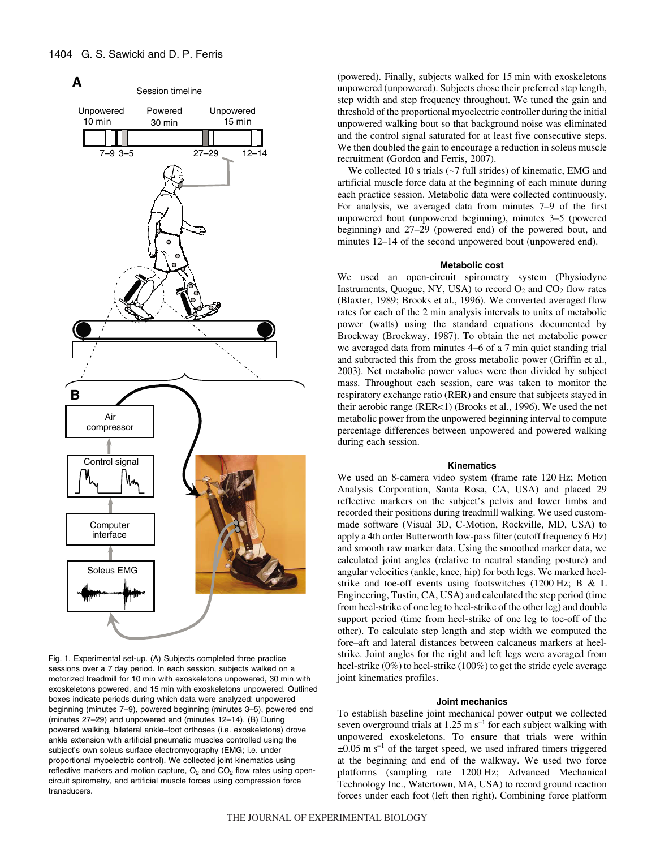

Fig. 1. Experimental set-up. (A) Subjects completed three practice sessions over a 7 day period. In each session, subjects walked on a motorized treadmill for 10 min with exoskeletons unpowered, 30 min with exoskeletons powered, and 15 min with exoskeletons unpowered. Outlined boxes indicate periods during which data were analyzed: unpowered beginning (minutes 7–9), powered beginning (minutes 3–5), powered end (minutes 27–29) and unpowered end (minutes 12–14). (B) During powered walking, bilateral ankle–foot orthoses (i.e. exoskeletons) drove ankle extension with artificial pneumatic muscles controlled using the subject's own soleus surface electromyography (EMG; i.e. under proportional myoelectric control). We collected joint kinematics using reflective markers and motion capture,  $O_2$  and  $CO_2$  flow rates using opencircuit spirometry, and artificial muscle forces using compression force transducers.

(powered). Finally, subjects walked for 15 min with exoskeletons unpowered (unpowered). Subjects chose their preferred step length, step width and step frequency throughout. We tuned the gain and threshold of the proportional myoelectric controller during the initial unpowered walking bout so that background noise was eliminated and the control signal saturated for at least five consecutive steps. We then doubled the gain to encourage a reduction in soleus muscle recruitment (Gordon and Ferris, 2007).

We collected 10 s trials (~7 full strides) of kinematic, EMG and artificial muscle force data at the beginning of each minute during each practice session. Metabolic data were collected continuously. For analysis, we averaged data from minutes 7–9 of the first unpowered bout (unpowered beginning), minutes 3–5 (powered beginning) and 27–29 (powered end) of the powered bout, and minutes 12–14 of the second unpowered bout (unpowered end).

### **Metabolic cost**

We used an open-circuit spirometry system (Physiodyne Instruments, Quogue, NY, USA) to record  $O_2$  and  $CO_2$  flow rates (Blaxter, 1989; Brooks et al., 1996). We converted averaged flow rates for each of the 2 min analysis intervals to units of metabolic power (watts) using the standard equations documented by Brockway (Brockway, 1987). To obtain the net metabolic power we averaged data from minutes 4–6 of a 7 min quiet standing trial and subtracted this from the gross metabolic power (Griffin et al., 2003). Net metabolic power values were then divided by subject mass. Throughout each session, care was taken to monitor the respiratory exchange ratio (RER) and ensure that subjects stayed in their aerobic range (RER<1) (Brooks et al., 1996). We used the net metabolic power from the unpowered beginning interval to compute percentage differences between unpowered and powered walking during each session.

#### **Kinematics**

We used an 8-camera video system (frame rate 120 Hz; Motion Analysis Corporation, Santa Rosa, CA, USA) and placed 29 reflective markers on the subject's pelvis and lower limbs and recorded their positions during treadmill walking. We used custommade software (Visual 3D, C-Motion, Rockville, MD, USA) to apply a 4th order Butterworth low-pass filter (cutoff frequency 6 Hz) and smooth raw marker data. Using the smoothed marker data, we calculated joint angles (relative to neutral standing posture) and angular velocities (ankle, knee, hip) for both legs. We marked heelstrike and toe-off events using footswitches (1200 Hz; B & L Engineering, Tustin, CA, USA) and calculated the step period (time from heel-strike of one leg to heel-strike of the other leg) and double support period (time from heel-strike of one leg to toe-off of the other). To calculate step length and step width we computed the fore–aft and lateral distances between calcaneus markers at heelstrike. Joint angles for the right and left legs were averaged from heel-strike (0%) to heel-strike (100%) to get the stride cycle average joint kinematics profiles.

#### **Joint mechanics**

To establish baseline joint mechanical power output we collected seven overground trials at 1.25 m  $s^{-1}$  for each subject walking with unpowered exoskeletons. To ensure that trials were within  $\pm 0.05$  m s<sup>-1</sup> of the target speed, we used infrared timers triggered at the beginning and end of the walkway. We used two force platforms (sampling rate 1200 Hz; Advanced Mechanical Technology Inc., Watertown, MA, USA) to record ground reaction forces under each foot (left then right). Combining force platform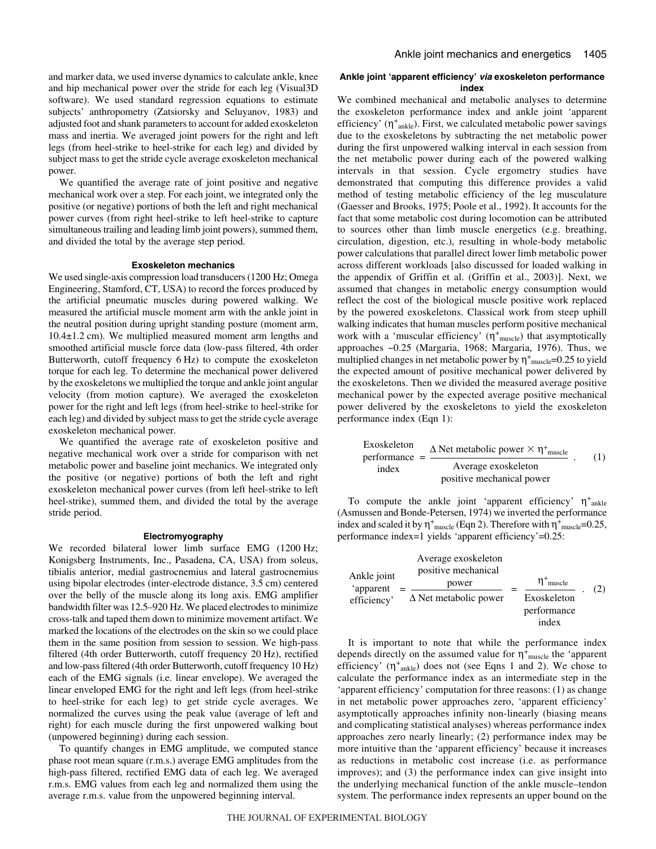and marker data, we used inverse dynamics to calculate ankle, knee and hip mechanical power over the stride for each leg (Visual3D software). We used standard regression equations to estimate subjects' anthropometry (Zatsiorsky and Seluyanov, 1983) and adjusted foot and shank parameters to account for added exoskeleton mass and inertia. We averaged joint powers for the right and left legs (from heel-strike to heel-strike for each leg) and divided by subject mass to get the stride cycle average exoskeleton mechanical power.

We quantified the average rate of joint positive and negative mechanical work over a step. For each joint, we integrated only the positive (or negative) portions of both the left and right mechanical power curves (from right heel-strike to left heel-strike to capture simultaneous trailing and leading limb joint powers), summed them, and divided the total by the average step period.

#### **Exoskeleton mechanics**

We used single-axis compression load transducers (1200 Hz; Omega Engineering, Stamford, CT, USA) to record the forces produced by the artificial pneumatic muscles during powered walking. We measured the artificial muscle moment arm with the ankle joint in the neutral position during upright standing posture (moment arm,  $10.4\pm1.2$  cm). We multiplied measured moment arm lengths and smoothed artificial muscle force data (low-pass filtered, 4th order Butterworth, cutoff frequency 6 Hz) to compute the exoskeleton torque for each leg. To determine the mechanical power delivered by the exoskeletons we multiplied the torque and ankle joint angular velocity (from motion capture). We averaged the exoskeleton power for the right and left legs (from heel-strike to heel-strike for each leg) and divided by subject mass to get the stride cycle average exoskeleton mechanical power.

We quantified the average rate of exoskeleton positive and negative mechanical work over a stride for comparison with net metabolic power and baseline joint mechanics. We integrated only the positive (or negative) portions of both the left and right exoskeleton mechanical power curves (from left heel-strike to left heel-strike), summed them, and divided the total by the average stride period.

#### **Electromyography**

We recorded bilateral lower limb surface EMG (1200 Hz; Konigsberg Instruments, Inc., Pasadena, CA, USA) from soleus, tibialis anterior, medial gastrocnemius and lateral gastrocnemius using bipolar electrodes (inter-electrode distance, 3.5 cm) centered over the belly of the muscle along its long axis. EMG amplifier bandwidth filter was 12.5–920 Hz. We placed electrodes to minimize cross-talk and taped them down to minimize movement artifact. We marked the locations of the electrodes on the skin so we could place them in the same position from session to session. We high-pass filtered (4th order Butterworth, cutoff frequency 20 Hz), rectified and low-pass filtered (4th order Butterworth, cutoff frequency 10 Hz) each of the EMG signals (i.e. linear envelope). We averaged the linear enveloped EMG for the right and left legs (from heel-strike to heel-strike for each leg) to get stride cycle averages. We normalized the curves using the peak value (average of left and right) for each muscle during the first unpowered walking bout (unpowered beginning) during each session.

To quantify changes in EMG amplitude, we computed stance phase root mean square (r.m.s.) average EMG amplitudes from the high-pass filtered, rectified EMG data of each leg. We averaged r.m.s. EMG values from each leg and normalized them using the average r.m.s. value from the unpowered beginning interval.

### **Ankle joint 'apparent efficiency' via exoskeleton performance index**

We combined mechanical and metabolic analyses to determine the exoskeleton performance index and ankle joint 'apparent efficiency'  $(\eta^+_{\text{ankle}})$ . First, we calculated metabolic power savings due to the exoskeletons by subtracting the net metabolic power during the first unpowered walking interval in each session from the net metabolic power during each of the powered walking intervals in that session. Cycle ergometry studies have demonstrated that computing this difference provides a valid method of testing metabolic efficiency of the leg musculature (Gaesser and Brooks, 1975; Poole et al., 1992). It accounts for the fact that some metabolic cost during locomotion can be attributed to sources other than limb muscle energetics (e.g. breathing, circulation, digestion, etc.), resulting in whole-body metabolic power calculations that parallel direct lower limb metabolic power across different workloads [also discussed for loaded walking in the appendix of Griffin et al. (Griffin et al., 2003)]. Next, we assumed that changes in metabolic energy consumption would reflect the cost of the biological muscle positive work replaced by the powered exoskeletons. Classical work from steep uphill walking indicates that human muscles perform positive mechanical work with a 'muscular efficiency'  $(\eta^+_{\text{muscle}})$  that asymptotically approaches ~0.25 (Margaria, 1968; Margaria, 1976). Thus, we multiplied changes in net metabolic power by  $\eta^+$ <sub>muscle</sub>=0.25 to yield the expected amount of positive mechanical power delivered by the exoskeletons. Then we divided the measured average positive mechanical power by the expected average positive mechanical power delivered by the exoskeletons to yield the exoskeleton performance index (Eqn 1):

Exoskeleton

\nperformance = 
$$
\frac{\Delta \text{Net metabolic power} \times \eta^+_{\text{muscle}}}{\text{Average exoskeleton}}
$$
 (1)  
\npositive mechanical power

To compute the ankle joint 'apparent efficiency'  $\eta^+$ <sub>ankle</sub> (Asmussen and Bonde-Petersen, 1974) we inverted the performance index and scaled it by  $\eta^+$ <sub>muscle</sub> (Eqn 2). Therefore with  $\eta^+$ <sub>muscle</sub>=0.25, performance index=1 yields 'apparent efficiency'=0.25:

| Ankle joint<br>'apparent | Average exoskeleton<br>positive mechanical |                            |  |
|--------------------------|--------------------------------------------|----------------------------|--|
|                          | power                                      | $\eta^*$ <sub>muscle</sub> |  |
| efficiency'              | $\Delta$ Net metabolic power               | Exoskeleton                |  |
|                          |                                            | performance                |  |
|                          |                                            | index                      |  |

It is important to note that while the performance index depends directly on the assumed value for  $\eta^+$ <sub>muscle</sub> the 'apparent efficiency'  $(\eta^+_{ankle})$  does not (see Eqns 1 and 2). We chose to calculate the performance index as an intermediate step in the 'apparent efficiency' computation for three reasons: (1) as change in net metabolic power approaches zero, 'apparent efficiency' asymptotically approaches infinity non-linearly (biasing means and complicating statistical analyses) whereas performance index approaches zero nearly linearly; (2) performance index may be more intuitive than the 'apparent efficiency' because it increases as reductions in metabolic cost increase (i.e. as performance improves); and (3) the performance index can give insight into the underlying mechanical function of the ankle muscle–tendon system. The performance index represents an upper bound on the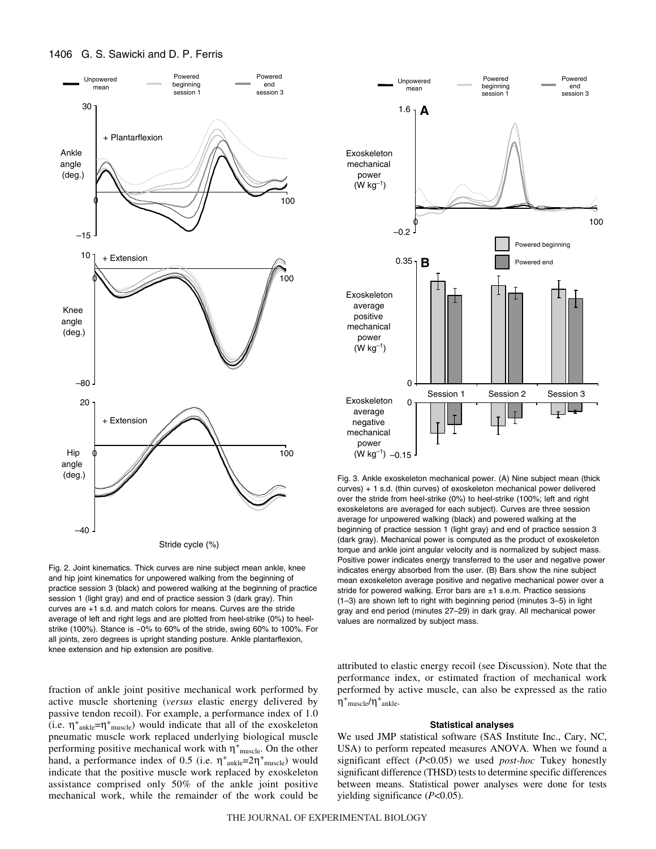### 1406 G. S. Sawicki and D. P. Ferris



Fig. 2. Joint kinematics. Thick curves are nine subject mean ankle, knee and hip joint kinematics for unpowered walking from the beginning of practice session 3 (black) and powered walking at the beginning of practice session 1 (light gray) and end of practice session 3 (dark gray). Thin curves are +1 s.d. and match colors for means. Curves are the stride average of left and right legs and are plotted from heel-strike (0%) to heelstrike (100%). Stance is ~0% to 60% of the stride, swing 60% to 100%. For all joints, zero degrees is upright standing posture. Ankle plantarflexion, knee extension and hip extension are positive.

fraction of ankle joint positive mechanical work performed by active muscle shortening (*versus* elastic energy delivered by passive tendon recoil). For example, a performance index of 1.0 (i.e.  $\eta^+$ <sub>ankle</sub>= $\eta^+$ <sub>muscle</sub>) would indicate that all of the exoskeleton pneumatic muscle work replaced underlying biological muscle performing positive mechanical work with  $\eta^+$ <sub>muscle</sub>. On the other hand, a performance index of 0.5 (i.e.  $\eta^+$ <sub>ankle</sub>= $2\eta^+$ <sub>muscle</sub>) would indicate that the positive muscle work replaced by exoskeleton assistance comprised only 50% of the ankle joint positive mechanical work, while the remainder of the work could be



Fig. 3. Ankle exoskeleton mechanical power. (A) Nine subject mean (thick curves) + 1 s.d. (thin curves) of exoskeleton mechanical power delivered over the stride from heel-strike (0%) to heel-strike (100%; left and right exoskeletons are averaged for each subject). Curves are three session average for unpowered walking (black) and powered walking at the beginning of practice session 1 (light gray) and end of practice session 3 (dark gray). Mechanical power is computed as the product of exoskeleton torque and ankle joint angular velocity and is normalized by subject mass. Positive power indicates energy transferred to the user and negative power indicates energy absorbed from the user. (B) Bars show the nine subject mean exoskeleton average positive and negative mechanical power over a stride for powered walking. Error bars are ±1 s.e.m. Practice sessions (1–3) are shown left to right with beginning period (minutes 3–5) in light gray and end period (minutes 27–29) in dark gray. All mechanical power values are normalized by subject mass.

attributed to elastic energy recoil (see Discussion). Note that the performance index, or estimated fraction of mechanical work performed by active muscle, can also be expressed as the ratio  $n_{\rm muscle} + n_{\rm ankle}$ .

### **Statistical analyses**

We used JMP statistical software (SAS Institute Inc., Cary, NC, USA) to perform repeated measures ANOVA. When we found a significant effect (*P*<0.05) we used *post-hoc* Tukey honestly significant difference (THSD) tests to determine specific differences between means. Statistical power analyses were done for tests yielding significance (*P*<0.05).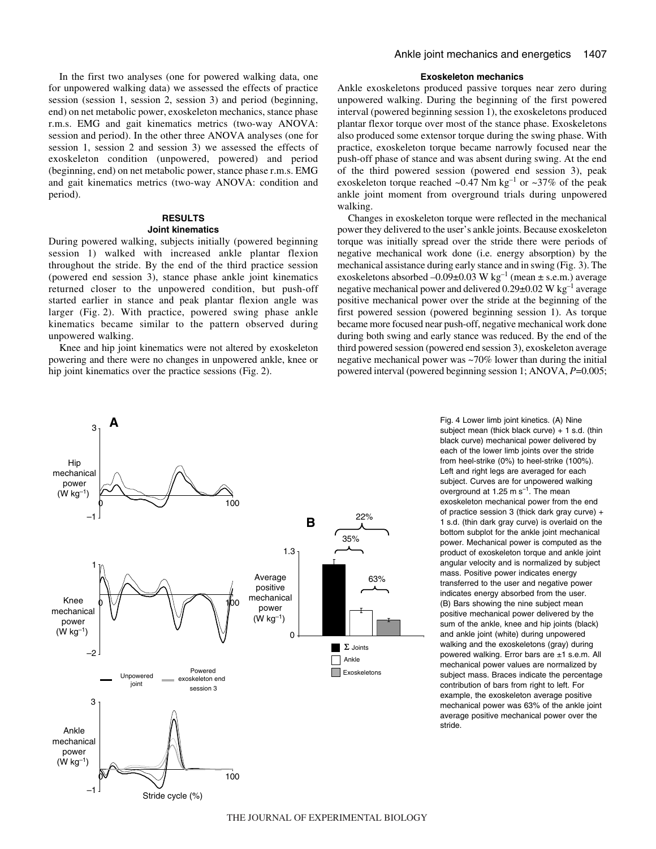In the first two analyses (one for powered walking data, one for unpowered walking data) we assessed the effects of practice session (session 1, session 2, session 3) and period (beginning, end) on net metabolic power, exoskeleton mechanics, stance phase r.m.s. EMG and gait kinematics metrics (two-way ANOVA: session and period). In the other three ANOVA analyses (one for session 1, session 2 and session 3) we assessed the effects of exoskeleton condition (unpowered, powered) and period (beginning, end) on net metabolic power, stance phase r.m.s. EMG and gait kinematics metrics (two-way ANOVA: condition and period).

## **RESULTS**

### **Joint kinematics**

During powered walking, subjects initially (powered beginning session 1) walked with increased ankle plantar flexion throughout the stride. By the end of the third practice session (powered end session 3), stance phase ankle joint kinematics returned closer to the unpowered condition, but push-off started earlier in stance and peak plantar flexion angle was larger (Fig. 2). With practice, powered swing phase ankle kinematics became similar to the pattern observed during unpowered walking.

Knee and hip joint kinematics were not altered by exoskeleton powering and there were no changes in unpowered ankle, knee or hip joint kinematics over the practice sessions (Fig. 2).

### **Exoskeleton mechanics**

Ankle exoskeletons produced passive torques near zero during unpowered walking. During the beginning of the first powered interval (powered beginning session 1), the exoskeletons produced plantar flexor torque over most of the stance phase. Exoskeletons also produced some extensor torque during the swing phase. With practice, exoskeleton torque became narrowly focused near the push-off phase of stance and was absent during swing. At the end of the third powered session (powered end session 3), peak exoskeleton torque reached  $\sim 0.47$  Nm kg<sup>-1</sup> or  $\sim 37\%$  of the peak ankle joint moment from overground trials during unpowered walking.

Changes in exoskeleton torque were reflected in the mechanical power they delivered to the user's ankle joints. Because exoskeleton torque was initially spread over the stride there were periods of negative mechanical work done (i.e. energy absorption) by the mechanical assistance during early stance and in swing (Fig. 3). The exoskeletons absorbed  $-0.09\pm0.03$  W kg<sup>-1</sup> (mean  $\pm$  s.e.m.) average negative mechanical power and delivered  $0.29\pm0.02~\text{W kg}^{-1}$  average positive mechanical power over the stride at the beginning of the first powered session (powered beginning session 1). As torque became more focused near push-off, negative mechanical work done during both swing and early stance was reduced. By the end of the third powered session (powered end session 3), exoskeleton average negative mechanical power was ~70% lower than during the initial powered interval (powered beginning session 1; ANOVA, *P*=0.005;



Fig. 4 Lower limb joint kinetics. (A) Nine subject mean (thick black curve)  $+1$  s.d. (thin black curve) mechanical power delivered by each of the lower limb joints over the stride from heel-strike (0%) to heel-strike (100%). Left and right legs are averaged for each subject. Curves are for unpowered walking overground at 1.25 m  $s^{-1}$ . The mean exoskeleton mechanical power from the end of practice session 3 (thick dark gray curve) + 1 s.d. (thin dark gray curve) is overlaid on the bottom subplot for the ankle joint mechanical power. Mechanical power is computed as the product of exoskeleton torque and ankle joint angular velocity and is normalized by subject mass. Positive power indicates energy transferred to the user and negative power indicates energy absorbed from the user. (B) Bars showing the nine subject mean positive mechanical power delivered by the sum of the ankle, knee and hip joints (black) and ankle joint (white) during unpowered walking and the exoskeletons (gray) during powered walking. Error bars are ±1 s.e.m. All mechanical power values are normalized by subject mass. Braces indicate the percentage contribution of bars from right to left. For example, the exoskeleton average positive mechanical power was 63% of the ankle joint average positive mechanical power over the stride.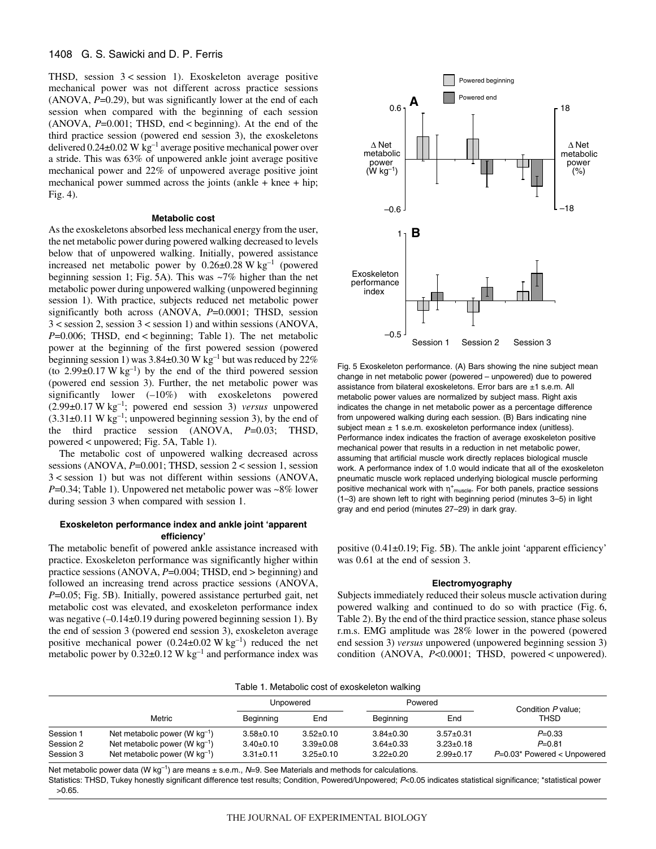THSD, session  $3 <$  session 1). Exoskeleton average positive mechanical power was not different across practice sessions (ANOVA, *P*=0.29), but was significantly lower at the end of each session when compared with the beginning of each session (ANOVA,  $P=0.001$ ; THSD, end < beginning). At the end of the third practice session (powered end session 3), the exoskeletons delivered  $0.24\pm0.02~W~kg^{-1}$  average positive mechanical power over a stride. This was 63% of unpowered ankle joint average positive mechanical power and 22% of unpowered average positive joint mechanical power summed across the joints (ankle + knee + hip; Fig.  $4$ ).

#### **Metabolic cost**

As the exoskeletons absorbed less mechanical energy from the user, the net metabolic power during powered walking decreased to levels below that of unpowered walking. Initially, powered assistance increased net metabolic power by  $0.26\pm0.28$  W kg<sup>-1</sup> (powered beginning session 1; Fig. 5A). This was  $\sim$ 7% higher than the net metabolic power during unpowered walking (unpowered beginning session 1). With practice, subjects reduced net metabolic power significantly both across (ANOVA, *P*=0.0001; THSD, session  $3<$  session 2, session 3 < session 1) and within sessions (ANOVA, *P*=0.006; THSD, end < beginning; Table 1). The net metabolic power at the beginning of the first powered session (powered beginning session 1) was  $3.84\pm0.30~\text{W kg}^{-1}$  but was reduced by  $22\%$ (to  $2.99\pm0.17~W~kg^{-1}$ ) by the end of the third powered session (powered end session 3). Further, the net metabolic power was significantly lower (–10%) with exoskeletons powered (2.99±0.17·W·kg–1; powered end session 3) *versus* unpowered  $(3.31\pm0.11~\text{W kg}^{-1})$ ; unpowered beginning session 3), by the end of the third practice session (ANOVA, *P*=0.03; THSD, powered < unpowered; Fig. 5A, Table 1).

The metabolic cost of unpowered walking decreased across sessions (ANOVA,  $P=0.001$ ; THSD, session  $2 <$  session 1, session  $3$  < session 1) but was not different within sessions (ANOVA, *P*=0.34; Table 1). Unpowered net metabolic power was ~8% lower during session 3 when compared with session 1.

### **Exoskeleton performance index and ankle joint 'apparent efficiency'**

The metabolic benefit of powered ankle assistance increased with practice. Exoskeleton performance was significantly higher within practice sessions (ANOVA,  $P=0.004$ ; THSD, end > beginning) and followed an increasing trend across practice sessions (ANOVA, *P*=0.05; Fig. 5B). Initially, powered assistance perturbed gait, net metabolic cost was elevated, and exoskeleton performance index was negative  $(-0.14\pm0.19$  during powered beginning session 1). By the end of session 3 (powered end session 3), exoskeleton average positive mechanical power  $(0.24\pm0.02 \text{ W kg}^{-1})$  reduced the net metabolic power by  $0.32\pm0.12$  W kg<sup>-1</sup> and performance index was



Fig. 5 Exoskeleton performance. (A) Bars showing the nine subject mean change in net metabolic power (powered – unpowered) due to powered assistance from bilateral exoskeletons. Error bars are ±1 s.e.m. All metabolic power values are normalized by subject mass. Right axis indicates the change in net metabolic power as a percentage difference from unpowered walking during each session. (B) Bars indicating nine subject mean  $\pm$  1 s.e.m. exoskeleton performance index (unitless). Performance index indicates the fraction of average exoskeleton positive mechanical power that results in a reduction in net metabolic power, assuming that artificial muscle work directly replaces biological muscle work. A performance index of 1.0 would indicate that all of the exoskeleton pneumatic muscle work replaced underlying biological muscle performing positive mechanical work with  $\eta^*$ <sub>muscle</sub>. For both panels, practice sessions (1–3) are shown left to right with beginning period (minutes 3–5) in light gray and end period (minutes 27–29) in dark gray.

positive  $(0.41\pm0.19;$  Fig. 5B). The ankle joint 'apparent efficiency' was 0.61 at the end of session 3.

### **Electromyography**

Subjects immediately reduced their soleus muscle activation during powered walking and continued to do so with practice (Fig. 6, Table 2). By the end of the third practice session, stance phase soleus r.m.s. EMG amplitude was 28% lower in the powered (powered end session 3) *versus* unpowered (unpowered beginning session 3) condition (ANOVA, *P<*0.0001; THSD, powered < unpowered).

|  |  |  | Table 1. Metabolic cost of exoskeleton walking |  |
|--|--|--|------------------------------------------------|--|
|--|--|--|------------------------------------------------|--|

|           |                                    | Unpowered       |                 | Powered         |                 | Condition P value:            |  |
|-----------|------------------------------------|-----------------|-----------------|-----------------|-----------------|-------------------------------|--|
|           | Metric                             |                 | End             | Beginning       | End             | <b>THSD</b>                   |  |
| Session 1 | Net metabolic power (W $kg^{-1}$ ) | $3.58 + 0.10$   | $3.52 \pm 0.10$ | $3.84 \pm 0.30$ | $3.57 \pm 0.31$ | $P = 0.33$                    |  |
| Session 2 | Net metabolic power (W $kg^{-1}$ ) | $3.40 \pm 0.10$ | $3.39 \pm 0.08$ | $3.64 \pm 0.33$ | $3.23 \pm 0.18$ | $P = 0.81$                    |  |
| Session 3 | Net metabolic power (W $kg^{-1}$ ) | $3.31 \pm 0.11$ | $3.25 \pm 0.10$ | $3.22 \pm 0.20$ | $2.99+0.17$     | $P=0.03*$ Powered < Unpowered |  |

Net metabolic power data (W kg<sup>-1</sup>) are means  $\pm$  s.e.m.,  $N=9$ . See Materials and methods for calculations.

Statistics: THSD, Tukey honestly significant difference test results; Condition, Powered/Unpowered; P<0.05 indicates statistical significance; \*statistical power >0.65.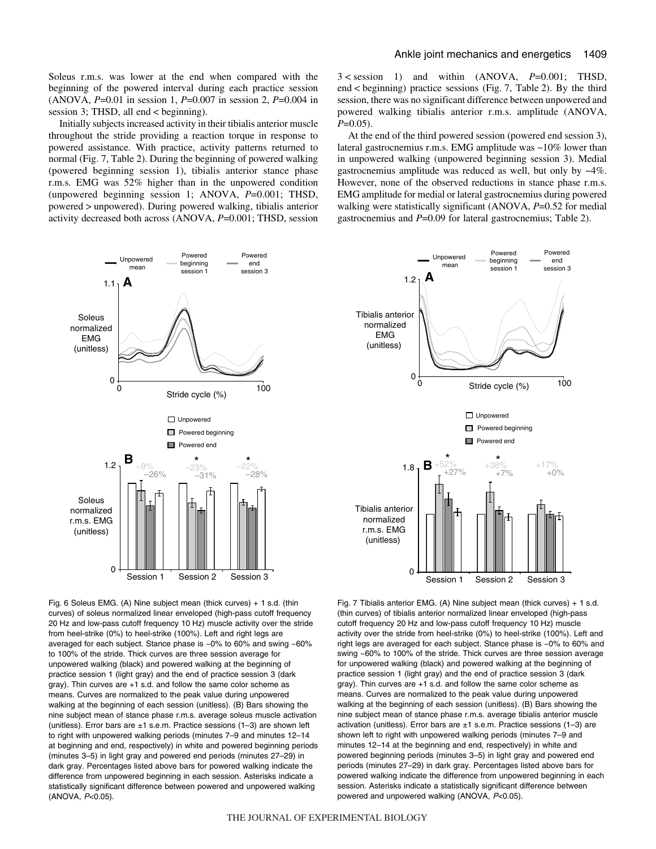Soleus r.m.s. was lower at the end when compared with the beginning of the powered interval during each practice session (ANOVA, *P*=0.01 in session 1, *P*=0.007 in session 2, *P*=0.004 in session 3; THSD, all end  $\lt$  beginning).

Initially subjects increased activity in their tibialis anterior muscle throughout the stride providing a reaction torque in response to powered assistance. With practice, activity patterns returned to normal (Fig. 7, Table 2). During the beginning of powered walking (powered beginning session 1), tibialis anterior stance phase r.m.s. EMG was 52% higher than in the unpowered condition (unpowered beginning session 1; ANOVA, *P*=0.001; THSD, powered > unpowered). During powered walking, tibialis anterior activity decreased both across (ANOVA, *P*=0.001; THSD, session



Fig. 6 Soleus EMG. (A) Nine subject mean (thick curves)  $+1$  s.d. (thin curves) of soleus normalized linear enveloped (high-pass cutoff frequency 20 Hz and low-pass cutoff frequency 10 Hz) muscle activity over the stride from heel-strike (0%) to heel-strike (100%). Left and right legs are averaged for each subject. Stance phase is ~0% to 60% and swing ~60% to 100% of the stride. Thick curves are three session average for unpowered walking (black) and powered walking at the beginning of practice session 1 (light gray) and the end of practice session 3 (dark gray). Thin curves are  $+1$  s.d. and follow the same color scheme as means. Curves are normalized to the peak value during unpowered walking at the beginning of each session (unitless). (B) Bars showing the nine subject mean of stance phase r.m.s. average soleus muscle activation (unitless). Error bars are  $\pm 1$  s.e.m. Practice sessions (1–3) are shown left to right with unpowered walking periods (minutes 7–9 and minutes 12–14 at beginning and end, respectively) in white and powered beginning periods (minutes 3–5) in light gray and powered end periods (minutes 27–29) in dark gray. Percentages listed above bars for powered walking indicate the difference from unpowered beginning in each session. Asterisks indicate a statistically significant difference between powered and unpowered walking (ANOVA, P<0.05).

 $3 \lt$  session 1) and within (ANOVA,  $P=0.001$ ; THSD, end < beginning) practice sessions (Fig. 7, Table 2). By the third session, there was no significant difference between unpowered and powered walking tibialis anterior r.m.s. amplitude (ANOVA, *P*=0.05).

At the end of the third powered session (powered end session 3), lateral gastrocnemius r.m.s. EMG amplitude was ~10% lower than in unpowered walking (unpowered beginning session 3). Medial gastrocnemius amplitude was reduced as well, but only by ~4%. However, none of the observed reductions in stance phase r.m.s. EMG amplitude for medial or lateral gastrocnemius during powered walking were statistically significant (ANOVA,  $P=0.52$  for medial gastrocnemius and *P*=0.09 for lateral gastrocnemius; Table 2).



Fig. 7 Tibialis anterior EMG. (A) Nine subject mean (thick curves) + 1 s.d. (thin curves) of tibialis anterior normalized linear enveloped (high-pass cutoff frequency 20 Hz and low-pass cutoff frequency 10 Hz) muscle activity over the stride from heel-strike (0%) to heel-strike (100%). Left and right legs are averaged for each subject. Stance phase is ~0% to 60% and swing ~60% to 100% of the stride. Thick curves are three session average for unpowered walking (black) and powered walking at the beginning of practice session 1 (light gray) and the end of practice session 3 (dark gray). Thin curves are +1 s.d. and follow the same color scheme as means. Curves are normalized to the peak value during unpowered walking at the beginning of each session (unitless). (B) Bars showing the nine subject mean of stance phase r.m.s. average tibialis anterior muscle activation (unitless). Error bars are ±1 s.e.m. Practice sessions (1–3) are shown left to right with unpowered walking periods (minutes 7–9 and minutes 12–14 at the beginning and end, respectively) in white and powered beginning periods (minutes 3–5) in light gray and powered end periods (minutes 27–29) in dark gray. Percentages listed above bars for powered walking indicate the difference from unpowered beginning in each session. Asterisks indicate a statistically significant difference between powered and unpowered walking (ANOVA, P<0.05).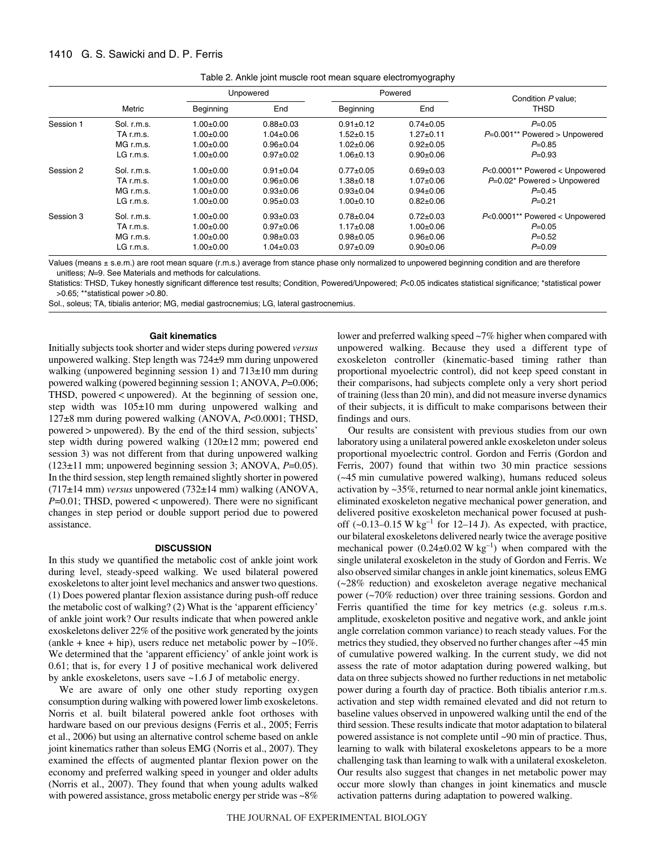### 1410 G. S. Sawicki and D. P. Ferris

|           |             | Unpowered       |                 | Powered         |                 | Condition P value:               |
|-----------|-------------|-----------------|-----------------|-----------------|-----------------|----------------------------------|
|           | Metric      | Beginning       | End             | Beginning       | End             | <b>THSD</b>                      |
| Session 1 | Sol. r.m.s. | $1.00 \pm 0.00$ | $0.88 + 0.03$   | $0.91 \pm 0.12$ | $0.74 \pm 0.05$ | $P=0.05$                         |
|           | $TA$ r.m.s. | $1.00 + 0.00$   | $1.04 \pm 0.06$ | $1.52 \pm 0.15$ | $1.27+0.11$     | $P=0.001**$ Powered > Unpowered  |
|           | MG r.m.s.   | $1.00 + 0.00$   | $0.96 \pm 0.04$ | $1.02 \pm 0.06$ | $0.92 \pm 0.05$ | $P = 0.85$                       |
|           | LG r.m.s.   | $1.00 + 0.00$   | $0.97+0.02$     | $1.06 \pm 0.13$ | $0.90 + 0.06$   | $P = 0.93$                       |
| Session 2 | Sol. r.m.s. | $1.00 \pm 0.00$ | $0.91 \pm 0.04$ | $0.77+0.05$     | $0.69 + 0.03$   | $P<0.0001**$ Powered < Unpowered |
|           | TA r.m.s.   | $1.00 + 0.00$   | $0.96 \pm 0.06$ | $1.38 \pm 0.18$ | $1.07 \pm 0.06$ | $P=0.02$ * Powered > Unpowered   |
|           | MG r.m.s.   | $1.00 + 0.00$   | $0.93 \pm 0.06$ | $0.93 \pm 0.04$ | $0.94 \pm 0.06$ | $P = 0.45$                       |
|           | $LG$ r.m.s. | $1.00 + 0.00$   | $0.95 + 0.03$   | $1.00+0.10$     | $0.82 + 0.06$   | $P = 0.21$                       |
| Session 3 | Sol. r.m.s. | $1.00 + 0.00$   | $0.93 + 0.03$   | $0.78 + 0.04$   | $0.72 \pm 0.03$ | $P<0.0001**$ Powered < Unpowered |
|           | TA r.m.s.   | $1.00 + 0.00$   | $0.97+0.06$     | $1.17 \pm 0.08$ | $1.00 \pm 0.06$ | $P=0.05$                         |
|           | MG r.m.s.   | $1.00 \pm 0.00$ | $0.98 + 0.03$   | $0.98 + 0.05$   | $0.96 + 0.06$   | $P = 0.52$                       |
|           | $LG$ r.m.s. | $1.00 \pm 0.00$ | $1.04 \pm 0.03$ | $0.97 + 0.09$   | $0.90 \pm 0.06$ | $P = 0.09$                       |

Table 2. Ankle joint muscle root mean square electromyography

Values (means ± s.e.m.) are root mean square (r.m.s.) average from stance phase only normalized to unpowered beginning condition and are therefore unitless; N=9. See Materials and methods for calculations.

Statistics: THSD, Tukey honestly significant difference test results; Condition, Powered/Unpowered; P<0.05 indicates statistical significance; \*statistical power >0.65; \*\*statistical power >0.80.

Sol., soleus; TA, tibialis anterior; MG, medial gastrocnemius; LG, lateral gastrocnemius.

#### **Gait kinematics**

Initially subjects took shorter and wider steps during powered *versus* unpowered walking. Step length was 724±9 mm during unpowered walking (unpowered beginning session 1) and  $713\pm10$  mm during powered walking (powered beginning session 1; ANOVA, *P*=0.006; THSD, powered < unpowered). At the beginning of session one, step width was  $105±10$  mm during unpowered walking and 127±8 mm during powered walking (ANOVA, *P*<0.0001; THSD, powered > unpowered). By the end of the third session, subjects' step width during powered walking (120±12 mm; powered end session 3) was not different from that during unpowered walking (123±11 mm; unpowered beginning session 3; ANOVA, *P*=0.05). In the third session, step length remained slightly shorter in powered (717±14·mm) *versus* unpowered (732±14·mm) walking (ANOVA, *P*=0.01; THSD, powered < unpowered). There were no significant changes in step period or double support period due to powered assistance.

#### **DISCUSSION**

In this study we quantified the metabolic cost of ankle joint work during level, steady-speed walking. We used bilateral powered exoskeletons to alter joint level mechanics and answer two questions. (1) Does powered plantar flexion assistance during push-off reduce the metabolic cost of walking? (2) What is the 'apparent efficiency' of ankle joint work? Our results indicate that when powered ankle exoskeletons deliver 22% of the positive work generated by the joints (ankle + knee + hip), users reduce net metabolic power by  $\sim 10\%$ . We determined that the 'apparent efficiency' of ankle joint work is 0.61; that is, for every 1 J of positive mechanical work delivered by ankle exoskeletons, users save  $~1.6$  J of metabolic energy.

We are aware of only one other study reporting oxygen consumption during walking with powered lower limb exoskeletons. Norris et al. built bilateral powered ankle foot orthoses with hardware based on our previous designs (Ferris et al., 2005; Ferris et al., 2006) but using an alternative control scheme based on ankle joint kinematics rather than soleus EMG (Norris et al., 2007). They examined the effects of augmented plantar flexion power on the economy and preferred walking speed in younger and older adults (Norris et al., 2007). They found that when young adults walked with powered assistance, gross metabolic energy per stride was ~8% lower and preferred walking speed ~7% higher when compared with unpowered walking. Because they used a different type of exoskeleton controller (kinematic-based timing rather than proportional myoelectric control), did not keep speed constant in their comparisons, had subjects complete only a very short period of training (less than 20 min), and did not measure inverse dynamics of their subjects, it is difficult to make comparisons between their findings and ours.

Our results are consistent with previous studies from our own laboratory using a unilateral powered ankle exoskeleton under soleus proportional myoelectric control. Gordon and Ferris (Gordon and Ferris, 2007) found that within two 30 min practice sessions  $(-45 \text{ min cumulative powered walking})$ , humans reduced soleus activation by ~35%, returned to near normal ankle joint kinematics, eliminated exoskeleton negative mechanical power generation, and delivered positive exoskeleton mechanical power focused at pushoff  $(-0.13-0.15 \text{ W kg}^{-1}$  for 12–14 J). As expected, with practice, our bilateral exoskeletons delivered nearly twice the average positive mechanical power  $(0.24\pm0.02 \text{ W kg}^{-1})$  when compared with the single unilateral exoskeleton in the study of Gordon and Ferris. We also observed similar changes in ankle joint kinematics, soleus EMG (~28% reduction) and exoskeleton average negative mechanical power (~70% reduction) over three training sessions. Gordon and Ferris quantified the time for key metrics (e.g. soleus r.m.s. amplitude, exoskeleton positive and negative work, and ankle joint angle correlation common variance) to reach steady values. For the metrics they studied, they observed no further changes after  $\sim$  45 min of cumulative powered walking. In the current study, we did not assess the rate of motor adaptation during powered walking, but data on three subjects showed no further reductions in net metabolic power during a fourth day of practice. Both tibialis anterior r.m.s. activation and step width remained elevated and did not return to baseline values observed in unpowered walking until the end of the third session. These results indicate that motor adaptation to bilateral powered assistance is not complete until ~90 min of practice. Thus, learning to walk with bilateral exoskeletons appears to be a more challenging task than learning to walk with a unilateral exoskeleton. Our results also suggest that changes in net metabolic power may occur more slowly than changes in joint kinematics and muscle activation patterns during adaptation to powered walking.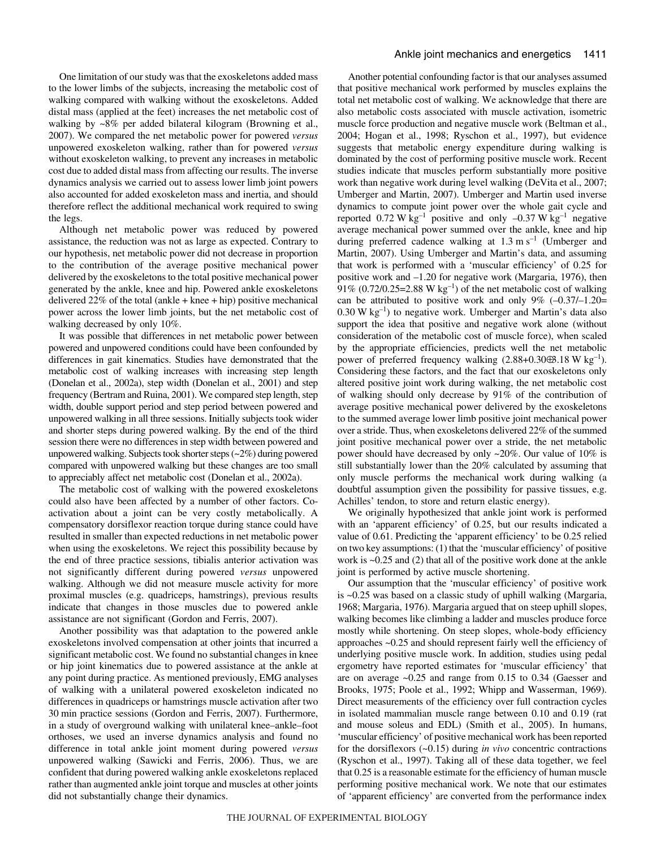One limitation of our study was that the exoskeletons added mass to the lower limbs of the subjects, increasing the metabolic cost of walking compared with walking without the exoskeletons. Added distal mass (applied at the feet) increases the net metabolic cost of walking by ~8% per added bilateral kilogram (Browning et al., 2007). We compared the net metabolic power for powered *versus* unpowered exoskeleton walking, rather than for powered *versus* without exoskeleton walking, to prevent any increases in metabolic cost due to added distal mass from affecting our results. The inverse dynamics analysis we carried out to assess lower limb joint powers also accounted for added exoskeleton mass and inertia, and should therefore reflect the additional mechanical work required to swing the legs.

Although net metabolic power was reduced by powered assistance, the reduction was not as large as expected. Contrary to our hypothesis, net metabolic power did not decrease in proportion to the contribution of the average positive mechanical power delivered by the exoskeletons to the total positive mechanical power generated by the ankle, knee and hip. Powered ankle exoskeletons delivered  $22\%$  of the total (ankle + knee + hip) positive mechanical power across the lower limb joints, but the net metabolic cost of walking decreased by only 10%.

It was possible that differences in net metabolic power between powered and unpowered conditions could have been confounded by differences in gait kinematics. Studies have demonstrated that the metabolic cost of walking increases with increasing step length (Donelan et al., 2002a), step width (Donelan et al., 2001) and step frequency (Bertram and Ruina, 2001). We compared step length, step width, double support period and step period between powered and unpowered walking in all three sessions. Initially subjects took wider and shorter steps during powered walking. By the end of the third session there were no differences in step width between powered and unpowered walking. Subjects took shorter steps (~2%) during powered compared with unpowered walking but these changes are too small to appreciably affect net metabolic cost (Donelan et al., 2002a).

The metabolic cost of walking with the powered exoskeletons could also have been affected by a number of other factors. Coactivation about a joint can be very costly metabolically. A compensatory dorsiflexor reaction torque during stance could have resulted in smaller than expected reductions in net metabolic power when using the exoskeletons. We reject this possibility because by the end of three practice sessions, tibialis anterior activation was not significantly different during powered *versus* unpowered walking. Although we did not measure muscle activity for more proximal muscles (e.g. quadriceps, hamstrings), previous results indicate that changes in those muscles due to powered ankle assistance are not significant (Gordon and Ferris, 2007).

Another possibility was that adaptation to the powered ankle exoskeletons involved compensation at other joints that incurred a significant metabolic cost. We found no substantial changes in knee or hip joint kinematics due to powered assistance at the ankle at any point during practice. As mentioned previously, EMG analyses of walking with a unilateral powered exoskeleton indicated no differences in quadriceps or hamstrings muscle activation after two 30 min practice sessions (Gordon and Ferris, 2007). Furthermore, in a study of overground walking with unilateral knee–ankle–foot orthoses, we used an inverse dynamics analysis and found no difference in total ankle joint moment during powered *versus* unpowered walking (Sawicki and Ferris, 2006). Thus, we are confident that during powered walking ankle exoskeletons replaced rather than augmented ankle joint torque and muscles at other joints did not substantially change their dynamics.

Another potential confounding factor is that our analyses assumed that positive mechanical work performed by muscles explains the total net metabolic cost of walking. We acknowledge that there are also metabolic costs associated with muscle activation, isometric muscle force production and negative muscle work (Beltman et al., 2004; Hogan et al., 1998; Ryschon et al., 1997), but evidence suggests that metabolic energy expenditure during walking is dominated by the cost of performing positive muscle work. Recent studies indicate that muscles perform substantially more positive work than negative work during level walking (DeVita et al., 2007; Umberger and Martin, 2007). Umberger and Martin used inverse dynamics to compute joint power over the whole gait cycle and reported  $0.72 \text{ W kg}^{-1}$  positive and only  $-0.37 \text{ W kg}^{-1}$  negative average mechanical power summed over the ankle, knee and hip during preferred cadence walking at  $1.3 \text{ m s}^{-1}$  (Umberger and Martin, 2007). Using Umberger and Martin's data, and assuming that work is performed with a 'muscular efficiency' of 0.25 for positive work and –1.20 for negative work (Margaria, 1976), then 91% (0.72/0.25=2.88 W  $kg^{-1}$ ) of the net metabolic cost of walking can be attributed to positive work and only  $9\%$  (-0.37/-1.20=  $0.30 W kg<sup>-1</sup>$ ) to negative work. Umberger and Martin's data also support the idea that positive and negative work alone (without consideration of the metabolic cost of muscle force), when scaled by the appropriate efficiencies, predicts well the net metabolic power of preferred frequency walking  $(2.88+0.30\oplus 0.18 \text{ W kg}^{-1})$ . Considering these factors, and the fact that our exoskeletons only altered positive joint work during walking, the net metabolic cost of walking should only decrease by 91% of the contribution of average positive mechanical power delivered by the exoskeletons to the summed average lower limb positive joint mechanical power over a stride. Thus, when exoskeletons delivered 22% of the summed joint positive mechanical power over a stride, the net metabolic power should have decreased by only ~20%. Our value of 10% is still substantially lower than the 20% calculated by assuming that only muscle performs the mechanical work during walking (a doubtful assumption given the possibility for passive tissues, e.g. Achilles' tendon, to store and return elastic energy).

We originally hypothesized that ankle joint work is performed with an 'apparent efficiency' of 0.25, but our results indicated a value of 0.61. Predicting the 'apparent efficiency' to be 0.25 relied on two key assumptions: (1) that the 'muscular efficiency' of positive work is ~0.25 and (2) that all of the positive work done at the ankle joint is performed by active muscle shortening.

Our assumption that the 'muscular efficiency' of positive work is ~0.25 was based on a classic study of uphill walking (Margaria, 1968; Margaria, 1976). Margaria argued that on steep uphill slopes, walking becomes like climbing a ladder and muscles produce force mostly while shortening. On steep slopes, whole-body efficiency approaches ~0.25 and should represent fairly well the efficiency of underlying positive muscle work. In addition, studies using pedal ergometry have reported estimates for 'muscular efficiency' that are on average ~0.25 and range from 0.15 to 0.34 (Gaesser and Brooks, 1975; Poole et al., 1992; Whipp and Wasserman, 1969). Direct measurements of the efficiency over full contraction cycles in isolated mammalian muscle range between 0.10 and 0.19 (rat and mouse soleus and EDL) (Smith et al., 2005). In humans, 'muscular efficiency' of positive mechanical work has been reported for the dorsiflexors (~0.15) during *in vivo* concentric contractions (Ryschon et al., 1997). Taking all of these data together, we feel that 0.25 is a reasonable estimate for the efficiency of human muscle performing positive mechanical work. We note that our estimates of 'apparent efficiency' are converted from the performance index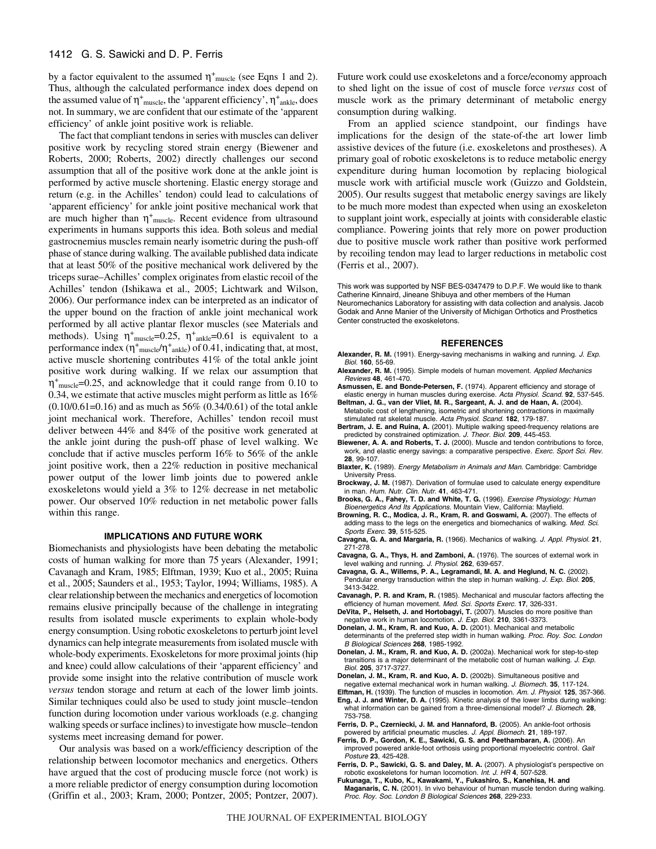by a factor equivalent to the assumed  $\eta^+$ <sub>muscle</sub> (see Eqns 1 and 2). Thus, although the calculated performance index does depend on the assumed value of  $\eta^+$ <sub>muscle</sub>, the 'apparent efficiency',  $\eta^+$ <sub>ankle</sub>, does not. In summary, we are confident that our estimate of the 'apparent efficiency' of ankle joint positive work is reliable.

The fact that compliant tendons in series with muscles can deliver positive work by recycling stored strain energy (Biewener and Roberts, 2000; Roberts, 2002) directly challenges our second assumption that all of the positive work done at the ankle joint is performed by active muscle shortening. Elastic energy storage and return (e.g. in the Achilles' tendon) could lead to calculations of 'apparent efficiency' for ankle joint positive mechanical work that are much higher than  $\eta^+$ <sub>muscle</sub>. Recent evidence from ultrasound experiments in humans supports this idea. Both soleus and medial gastrocnemius muscles remain nearly isometric during the push-off phase of stance during walking. The available published data indicate that at least 50% of the positive mechanical work delivered by the triceps surae–Achilles' complex originates from elastic recoil of the Achilles' tendon (Ishikawa et al., 2005; Lichtwark and Wilson, 2006). Our performance index can be interpreted as an indicator of the upper bound on the fraction of ankle joint mechanical work performed by all active plantar flexor muscles (see Materials and methods). Using  $\eta^+$ <sub>muscle</sub>=0.25,  $\eta^+$ <sub>ankle</sub>=0.61 is equivalent to a performance index  $(\eta_{\text{muscle}}/\eta_{\text{ankle}})$  of 0.41, indicating that, at most, active muscle shortening contributes 41% of the total ankle joint positive work during walking. If we relax our assumption that  $\eta^+$ <sub>muscle</sub>=0.25, and acknowledge that it could range from 0.10 to 0.34, we estimate that active muscles might perform as little as 16%  $(0.10/0.61=0.16)$  and as much as 56%  $(0.34/0.61)$  of the total ankle joint mechanical work. Therefore, Achilles' tendon recoil must deliver between 44% and 84% of the positive work generated at the ankle joint during the push-off phase of level walking. We conclude that if active muscles perform 16% to 56% of the ankle joint positive work, then a 22% reduction in positive mechanical power output of the lower limb joints due to powered ankle exoskeletons would yield a 3% to 12% decrease in net metabolic power. Our observed 10% reduction in net metabolic power falls within this range.

#### **IMPLICATIONS AND FUTURE WORK**

Biomechanists and physiologists have been debating the metabolic costs of human walking for more than 75 years (Alexander, 1991; Cavanagh and Kram, 1985; Elftman, 1939; Kuo et al., 2005; Ruina et al., 2005; Saunders et al., 1953; Taylor, 1994; Williams, 1985). A clear relationship between the mechanics and energetics of locomotion remains elusive principally because of the challenge in integrating results from isolated muscle experiments to explain whole-body energy consumption. Using robotic exoskeletons to perturb joint level dynamics can help integrate measurements from isolated muscle with whole-body experiments. Exoskeletons for more proximal joints (hip and knee) could allow calculations of their 'apparent efficiency' and provide some insight into the relative contribution of muscle work *versus* tendon storage and return at each of the lower limb joints. Similar techniques could also be used to study joint muscle–tendon function during locomotion under various workloads (e.g. changing walking speeds or surface inclines) to investigate how muscle–tendon systems meet increasing demand for power.

Our analysis was based on a work/efficiency description of the relationship between locomotor mechanics and energetics. Others have argued that the cost of producing muscle force (not work) is a more reliable predictor of energy consumption during locomotion (Griffin et al., 2003; Kram, 2000; Pontzer, 2005; Pontzer, 2007). Future work could use exoskeletons and a force/economy approach to shed light on the issue of cost of muscle force *versus* cost of muscle work as the primary determinant of metabolic energy consumption during walking.

From an applied science standpoint, our findings have implications for the design of the state-of-the art lower limb assistive devices of the future (i.e. exoskeletons and prostheses). A primary goal of robotic exoskeletons is to reduce metabolic energy expenditure during human locomotion by replacing biological muscle work with artificial muscle work (Guizzo and Goldstein, 2005). Our results suggest that metabolic energy savings are likely to be much more modest than expected when using an exoskeleton to supplant joint work, especially at joints with considerable elastic compliance. Powering joints that rely more on power production due to positive muscle work rather than positive work performed by recoiling tendon may lead to larger reductions in metabolic cost (Ferris et al., 2007).

This work was supported by NSF BES-0347479 to D.P.F. We would like to thank Catherine Kinnaird, Jineane Shibuya and other members of the Human Neuromechanics Laboratory for assisting with data collection and analysis. Jacob Godak and Anne Manier of the University of Michigan Orthotics and Prosthetics Center constructed the exoskeletons.

#### **REFERENCES**

- **Alexander, R. M.** (1991). Energy-saving mechanisms in walking and running. J. Exp. Biol. **160**, 55-69.
- **Alexander, R. M.** (1995). Simple models of human movement. Applied Mechanics Reviews **48**, 461-470.
- **Asmussen, E. and Bonde-Petersen, F.** (1974). Apparent efficiency and storage of elastic energy in human muscles during exercise. Acta Physiol. Scand. **92**, 537-545.
- **Beltman, J. G., van der Vliet, M. R., Sargeant, A. J. and de Haan, A.** (2004). Metabolic cost of lengthening, isometric and shortening contractions in maximally stimulated rat skeletal muscle. Acta Physiol. Scand. **182**, 179-187.
- **Bertram, J. E. and Ruina, A.** (2001). Multiple walking speed-frequency relations are predicted by constrained optimization. J. Theor. Biol. **209**, 445-453.
- **Biewener, A. A. and Roberts, T. J.** (2000). Muscle and tendon contributions to force, work, and elastic energy savings: a comparative perspective. Exerc. Sport Sci. Rev. **28**, 99-107.
- **Blaxter, K.** (1989). Energy Metabolism in Animals and Man. Cambridge: Cambridge University Press.
- **Brockway, J. M.** (1987). Derivation of formulae used to calculate energy expenditure in man. Hum. Nutr. Clin. Nutr. **41**, 463-471.
- **Brooks, G. A., Fahey, T. D. and White, T. G.** (1996). Exercise Physiology: Human Bioenergetics And Its Applications. Mountain View, California: Mayfield.
- **Browning, R. C., Modica, J. R., Kram, R. and Goswami, A.** (2007). The effects of adding mass to the legs on the energetics and biomechanics of walking. Med. Sci. Sports Exerc. **39**, 515-525.
- **Cavagna, G. A. and Margaria, R.** (1966). Mechanics of walking. J. Appl. Physiol. **21**, 271-278.
- **Cavagna, G. A., Thys, H. and Zamboni, A.** (1976). The sources of external work in level walking and running. J. Physiol. **262**, 639-657.
- **Cavagna, G. A., Willems, P. A., Legramandi, M. A. and Heglund, N. C.** (2002). Pendular energy transduction within the step in human walking. J. Exp. Biol. **205**, 3413-3422.
- **Cavanagh, P. R. and Kram, R.** (1985). Mechanical and muscular factors affecting the efficiency of human movement. Med. Sci. Sports Exerc. **17**, 326-331.
- **DeVita, P., Helseth, J. and Hortobagyi, T.** (2007). Muscles do more positive than negative work in human locomotion. J. Exp. Biol. **210**, 3361-3373.
- **Donelan, J. M., Kram, R. and Kuo, A. D.** (2001). Mechanical and metabolic determinants of the preferred step width in human walking. Proc. Roy. Soc. London
- B Biological Sciences **268**, 1985-1992. **Donelan, J. M., Kram, R. and Kuo, A. D.** (2002a). Mechanical work for step-to-step transitions is a major determinant of the metabolic cost of human walking. J. Exp. Biol. **205**, 3717-3727.
- **Donelan, J. M., Kram, R. and Kuo, A. D.** (2002b). Simultaneous positive and negative external mechanical work in human walking. J. Biomech. **35**, 117-124.
- **Elftman, H.** (1939). The function of muscles in locomotion. Am. J. Physiol. **125**, 357-366.
- **Eng, J. J. and Winter, D. A.** (1995). Kinetic analysis of the lower limbs during walking: what information can be gained from a three-dimensional model? J. Biomech. **28**, 753-758.
- **Ferris, D. P., Czerniecki, J. M. and Hannaford, B.** (2005). An ankle-foot orthosis powered by artificial pneumatic muscles. J. Appl. Biomech. **21**, 189-197.
- **Ferris, D. P., Gordon, K. E., Sawicki, G. S. and Peethambaran, A.** (2006). An improved powered ankle-foot orthosis using proportional myoelectric control. Gait Posture **23**, 425-428.
- **Ferris, D. P., Sawicki, G. S. and Daley, M. A.** (2007). A physiologist's perspective on robotic exoskeletons for human locomotion. Int. J. HR **4**, 507-528.
- **Fukunaga, T., Kubo, K., Kawakami, Y., Fukashiro, S., Kanehisa, H. and Maganaris, C. N.** (2001). In vivo behaviour of human muscle tendon during walking. Proc. Roy. Soc. London B Biological Sciences **268**, 229-233.